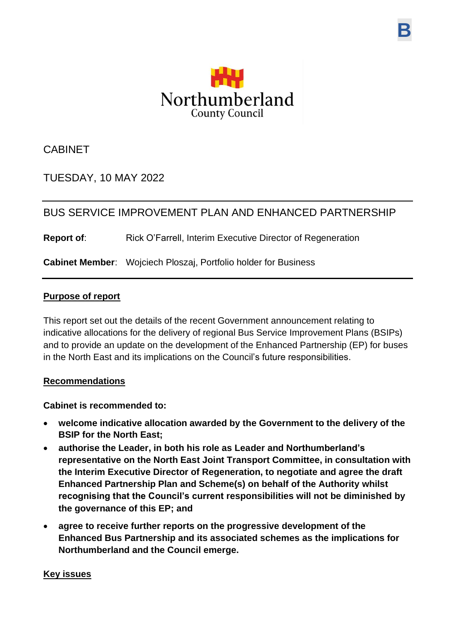

**B**

CABINET

TUESDAY, 10 MAY 2022

# BUS SERVICE IMPROVEMENT PLAN AND ENHANCED PARTNERSHIP

**Report of:** Rick O'Farrell, Interim Executive Director of Regeneration

**Cabinet Member**: Wojciech Ploszaj, Portfolio holder for Business

### **Purpose of report**

This report set out the details of the recent Government announcement relating to indicative allocations for the delivery of regional Bus Service Improvement Plans (BSIPs) and to provide an update on the development of the Enhanced Partnership (EP) for buses in the North East and its implications on the Council's future responsibilities.

### **Recommendations**

**Cabinet is recommended to:**

- **welcome indicative allocation awarded by the Government to the delivery of the BSIP for the North East;**
- **authorise the Leader, in both his role as Leader and Northumberland's representative on the North East Joint Transport Committee, in consultation with the Interim Executive Director of Regeneration, to negotiate and agree the draft Enhanced Partnership Plan and Scheme(s) on behalf of the Authority whilst recognising that the Council's current responsibilities will not be diminished by the governance of this EP; and**
- **agree to receive further reports on the progressive development of the Enhanced Bus Partnership and its associated schemes as the implications for Northumberland and the Council emerge.**

### **Key issues**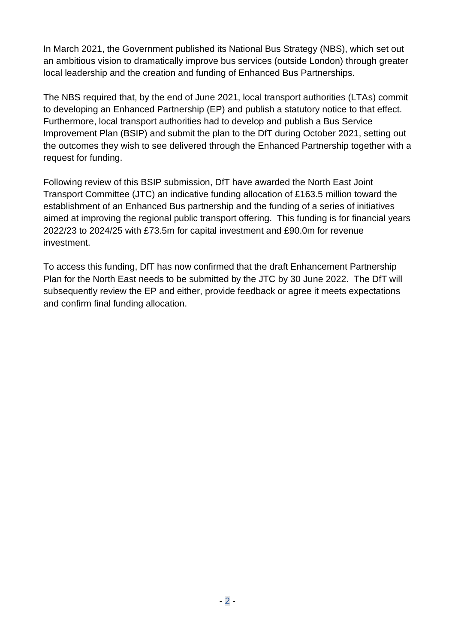In March 2021, the Government published its National Bus Strategy (NBS), which set out an ambitious vision to dramatically improve bus services (outside London) through greater local leadership and the creation and funding of Enhanced Bus Partnerships.

The NBS required that, by the end of June 2021, local transport authorities (LTAs) commit to developing an Enhanced Partnership (EP) and publish a statutory notice to that effect. Furthermore, local transport authorities had to develop and publish a Bus Service Improvement Plan (BSIP) and submit the plan to the DfT during October 2021, setting out the outcomes they wish to see delivered through the Enhanced Partnership together with a request for funding.

Following review of this BSIP submission, DfT have awarded the North East Joint Transport Committee (JTC) an indicative funding allocation of £163.5 million toward the establishment of an Enhanced Bus partnership and the funding of a series of initiatives aimed at improving the regional public transport offering. This funding is for financial years 2022/23 to 2024/25 with £73.5m for capital investment and £90.0m for revenue investment.

To access this funding, DfT has now confirmed that the draft Enhancement Partnership Plan for the North East needs to be submitted by the JTC by 30 June 2022. The DfT will subsequently review the EP and either, provide feedback or agree it meets expectations and confirm final funding allocation.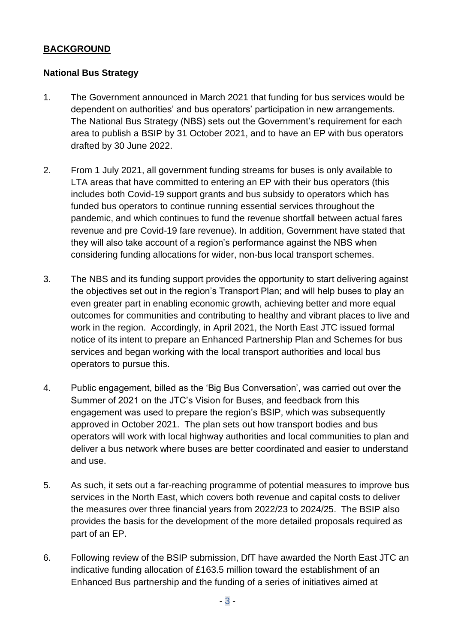### **BACKGROUND**

## **National Bus Strategy**

- 1. The Government announced in March 2021 that funding for bus services would be dependent on authorities' and bus operators' participation in new arrangements. The National Bus Strategy (NBS) sets out the Government's requirement for each area to publish a BSIP by 31 October 2021, and to have an EP with bus operators drafted by 30 June 2022.
- 2. From 1 July 2021, all government funding streams for buses is only available to LTA areas that have committed to entering an EP with their bus operators (this includes both Covid-19 support grants and bus subsidy to operators which has funded bus operators to continue running essential services throughout the pandemic, and which continues to fund the revenue shortfall between actual fares revenue and pre Covid-19 fare revenue). In addition, Government have stated that they will also take account of a region's performance against the NBS when considering funding allocations for wider, non-bus local transport schemes.
- 3. The NBS and its funding support provides the opportunity to start delivering against the objectives set out in the region's Transport Plan; and will help buses to play an even greater part in enabling economic growth, achieving better and more equal outcomes for communities and contributing to healthy and vibrant places to live and work in the region. Accordingly, in April 2021, the North East JTC issued formal notice of its intent to prepare an Enhanced Partnership Plan and Schemes for bus services and began working with the local transport authorities and local bus operators to pursue this.
- 4. Public engagement, billed as the 'Big Bus Conversation', was carried out over the Summer of 2021 on the JTC's Vision for Buses, and feedback from this engagement was used to prepare the region's BSIP, which was subsequently approved in October 2021. The plan sets out how transport bodies and bus operators will work with local highway authorities and local communities to plan and deliver a bus network where buses are better coordinated and easier to understand and use.
- 5. As such, it sets out a far-reaching programme of potential measures to improve bus services in the North East, which covers both revenue and capital costs to deliver the measures over three financial years from 2022/23 to 2024/25. The BSIP also provides the basis for the development of the more detailed proposals required as part of an EP.
- 6. Following review of the BSIP submission, DfT have awarded the North East JTC an indicative funding allocation of £163.5 million toward the establishment of an Enhanced Bus partnership and the funding of a series of initiatives aimed at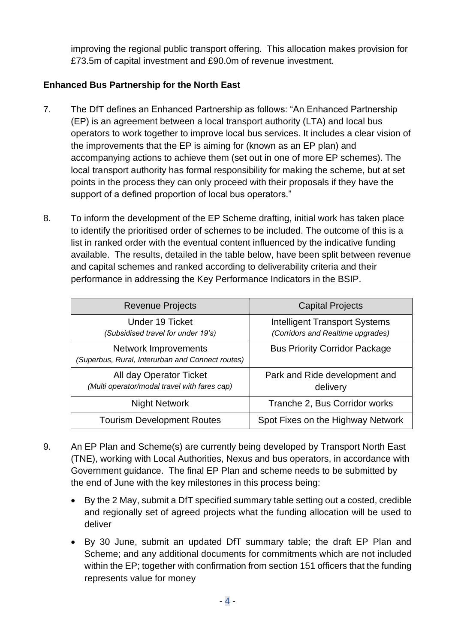improving the regional public transport offering. This allocation makes provision for £73.5m of capital investment and £90.0m of revenue investment.

# **Enhanced Bus Partnership for the North East**

- 7. The DfT defines an Enhanced Partnership as follows: "An Enhanced Partnership (EP) is an agreement between a local transport authority (LTA) and local bus operators to work together to improve local bus services. It includes a clear vision of the improvements that the EP is aiming for (known as an EP plan) and accompanying actions to achieve them (set out in one of more EP schemes). The local transport authority has formal responsibility for making the scheme, but at set points in the process they can only proceed with their proposals if they have the support of a defined proportion of local bus operators."
- 8. To inform the development of the EP Scheme drafting, initial work has taken place to identify the prioritised order of schemes to be included. The outcome of this is a list in ranked order with the eventual content influenced by the indicative funding available. The results, detailed in the table below, have been split between revenue and capital schemes and ranked according to deliverability criteria and their performance in addressing the Key Performance Indicators in the BSIP.

| <b>Revenue Projects</b>                                                  | <b>Capital Projects</b>                                                   |
|--------------------------------------------------------------------------|---------------------------------------------------------------------------|
| Under 19 Ticket<br>(Subsidised travel for under 19's)                    | <b>Intelligent Transport Systems</b><br>(Corridors and Realtime upgrades) |
| Network Improvements<br>(Superbus, Rural, Interurban and Connect routes) | <b>Bus Priority Corridor Package</b>                                      |
| All day Operator Ticket<br>(Multi operator/modal travel with fares cap)  | Park and Ride development and<br>delivery                                 |
| <b>Night Network</b>                                                     | Tranche 2, Bus Corridor works                                             |
| <b>Tourism Development Routes</b>                                        | Spot Fixes on the Highway Network                                         |

- 9. An EP Plan and Scheme(s) are currently being developed by Transport North East (TNE), working with Local Authorities, Nexus and bus operators, in accordance with Government guidance. The final EP Plan and scheme needs to be submitted by the end of June with the key milestones in this process being:
	- By the 2 May, submit a DfT specified summary table setting out a costed, credible and regionally set of agreed projects what the funding allocation will be used to deliver
	- By 30 June, submit an updated DfT summary table; the draft EP Plan and Scheme; and any additional documents for commitments which are not included within the EP; together with confirmation from section 151 officers that the funding represents value for money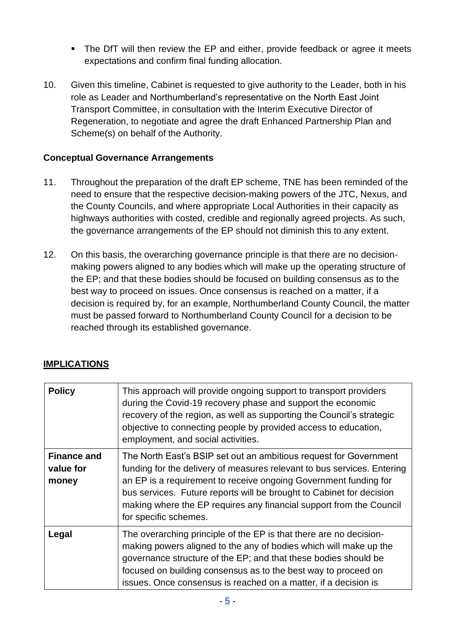- The DfT will then review the EP and either, provide feedback or agree it meets expectations and confirm final funding allocation.
- 10. Given this timeline, Cabinet is requested to give authority to the Leader, both in his role as Leader and Northumberland's representative on the North East Joint Transport Committee, in consultation with the Interim Executive Director of Regeneration, to negotiate and agree the draft Enhanced Partnership Plan and Scheme(s) on behalf of the Authority.

## **Conceptual Governance Arrangements**

- 11. Throughout the preparation of the draft EP scheme, TNE has been reminded of the need to ensure that the respective decision-making powers of the JTC, Nexus, and the County Councils, and where appropriate Local Authorities in their capacity as highways authorities with costed, credible and regionally agreed projects. As such, the governance arrangements of the EP should not diminish this to any extent.
- 12. On this basis, the overarching governance principle is that there are no decisionmaking powers aligned to any bodies which will make up the operating structure of the EP; and that these bodies should be focused on building consensus as to the best way to proceed on issues. Once consensus is reached on a matter, if a decision is required by, for an example, Northumberland County Council, the matter must be passed forward to Northumberland County Council for a decision to be reached through its established governance.

|  | <b>IMPLICATIONS</b> |
|--|---------------------|
|  |                     |

| <b>Policy</b>                            | This approach will provide ongoing support to transport providers<br>during the Covid-19 recovery phase and support the economic<br>recovery of the region, as well as supporting the Council's strategic<br>objective to connecting people by provided access to education,<br>employment, and social activities.                                                                       |
|------------------------------------------|------------------------------------------------------------------------------------------------------------------------------------------------------------------------------------------------------------------------------------------------------------------------------------------------------------------------------------------------------------------------------------------|
| <b>Finance and</b><br>value for<br>money | The North East's BSIP set out an ambitious request for Government<br>funding for the delivery of measures relevant to bus services. Entering<br>an EP is a requirement to receive ongoing Government funding for<br>bus services. Future reports will be brought to Cabinet for decision<br>making where the EP requires any financial support from the Council<br>for specific schemes. |
| Legal                                    | The overarching principle of the EP is that there are no decision-<br>making powers aligned to the any of bodies which will make up the<br>governance structure of the EP; and that these bodies should be<br>focused on building consensus as to the best way to proceed on<br>issues. Once consensus is reached on a matter, if a decision is                                          |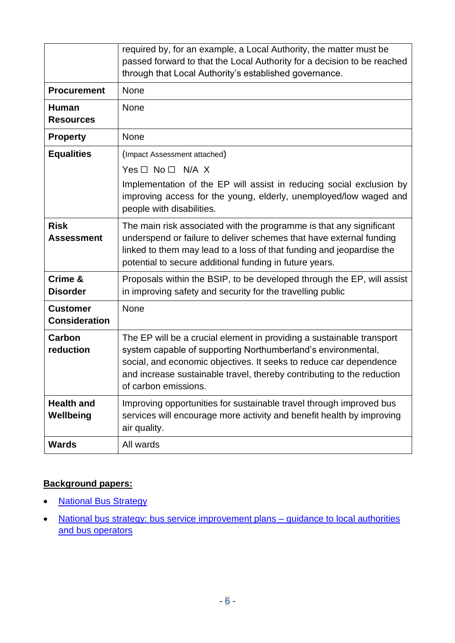|                                         | required by, for an example, a Local Authority, the matter must be<br>passed forward to that the Local Authority for a decision to be reached<br>through that Local Authority's established governance.                                                                                                       |
|-----------------------------------------|---------------------------------------------------------------------------------------------------------------------------------------------------------------------------------------------------------------------------------------------------------------------------------------------------------------|
| <b>Procurement</b>                      | <b>None</b>                                                                                                                                                                                                                                                                                                   |
| <b>Human</b><br><b>Resources</b>        | None                                                                                                                                                                                                                                                                                                          |
| <b>Property</b>                         | <b>None</b>                                                                                                                                                                                                                                                                                                   |
| <b>Equalities</b>                       | (Impact Assessment attached)                                                                                                                                                                                                                                                                                  |
|                                         | Yes $\square$ No $\square$ N/A X                                                                                                                                                                                                                                                                              |
|                                         | Implementation of the EP will assist in reducing social exclusion by<br>improving access for the young, elderly, unemployed/low waged and<br>people with disabilities.                                                                                                                                        |
| <b>Risk</b><br><b>Assessment</b>        | The main risk associated with the programme is that any significant<br>underspend or failure to deliver schemes that have external funding<br>linked to them may lead to a loss of that funding and jeopardise the<br>potential to secure additional funding in future years.                                 |
| Crime &<br><b>Disorder</b>              | Proposals within the BSIP, to be developed through the EP, will assist<br>in improving safety and security for the travelling public                                                                                                                                                                          |
| <b>Customer</b><br><b>Consideration</b> | <b>None</b>                                                                                                                                                                                                                                                                                                   |
| Carbon<br>reduction                     | The EP will be a crucial element in providing a sustainable transport<br>system capable of supporting Northumberland's environmental,<br>social, and economic objectives. It seeks to reduce car dependence<br>and increase sustainable travel, thereby contributing to the reduction<br>of carbon emissions. |
| <b>Health and</b><br>Wellbeing          | Improving opportunities for sustainable travel through improved bus<br>services will encourage more activity and benefit health by improving<br>air quality.                                                                                                                                                  |
| <b>Wards</b>                            | All wards                                                                                                                                                                                                                                                                                                     |

# **Background papers:**

- **[National Bus Strategy](https://www.gov.uk/government/publications/bus-back-better)**
- [National bus strategy: bus service improvement plans –](https://www.gov.uk/government/publications/bus-service-improvement-plan) guidance to local authorities [and bus operators](https://www.gov.uk/government/publications/bus-service-improvement-plan)